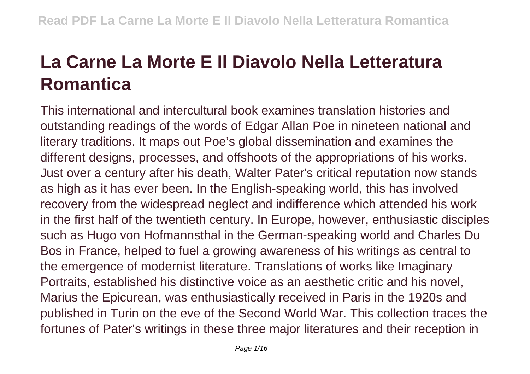## **La Carne La Morte E Il Diavolo Nella Letteratura Romantica**

This international and intercultural book examines translation histories and outstanding readings of the words of Edgar Allan Poe in nineteen national and literary traditions. It maps out Poe's global dissemination and examines the different designs, processes, and offshoots of the appropriations of his works. Just over a century after his death, Walter Pater's critical reputation now stands as high as it has ever been. In the English-speaking world, this has involved recovery from the widespread neglect and indifference which attended his work in the first half of the twentieth century. In Europe, however, enthusiastic disciples such as Hugo von Hofmannsthal in the German-speaking world and Charles Du Bos in France, helped to fuel a growing awareness of his writings as central to the emergence of modernist literature. Translations of works like Imaginary Portraits, established his distinctive voice as an aesthetic critic and his novel, Marius the Epicurean, was enthusiastically received in Paris in the 1920s and published in Turin on the eve of the Second World War. This collection traces the fortunes of Pater's writings in these three major literatures and their reception in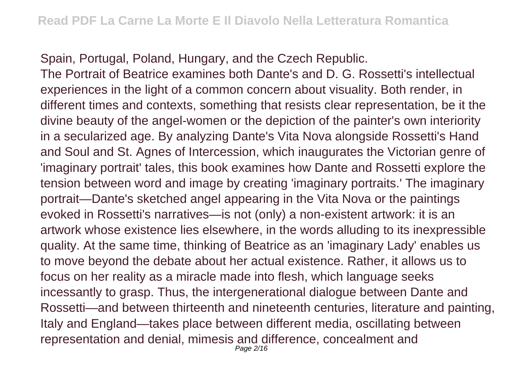Spain, Portugal, Poland, Hungary, and the Czech Republic.

The Portrait of Beatrice examines both Dante's and D. G. Rossetti's intellectual experiences in the light of a common concern about visuality. Both render, in different times and contexts, something that resists clear representation, be it the divine beauty of the angel-women or the depiction of the painter's own interiority in a secularized age. By analyzing Dante's Vita Nova alongside Rossetti's Hand and Soul and St. Agnes of Intercession, which inaugurates the Victorian genre of 'imaginary portrait' tales, this book examines how Dante and Rossetti explore the tension between word and image by creating 'imaginary portraits.' The imaginary portrait—Dante's sketched angel appearing in the Vita Nova or the paintings evoked in Rossetti's narratives—is not (only) a non-existent artwork: it is an artwork whose existence lies elsewhere, in the words alluding to its inexpressible quality. At the same time, thinking of Beatrice as an 'imaginary Lady' enables us to move beyond the debate about her actual existence. Rather, it allows us to focus on her reality as a miracle made into flesh, which language seeks incessantly to grasp. Thus, the intergenerational dialogue between Dante and Rossetti—and between thirteenth and nineteenth centuries, literature and painting, Italy and England—takes place between different media, oscillating between representation and denial, mimesis and difference, concealment and Page 2/16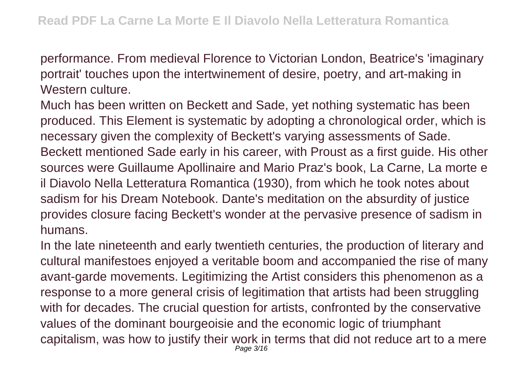performance. From medieval Florence to Victorian London, Beatrice's 'imaginary portrait' touches upon the intertwinement of desire, poetry, and art-making in Western culture.

Much has been written on Beckett and Sade, yet nothing systematic has been produced. This Element is systematic by adopting a chronological order, which is necessary given the complexity of Beckett's varying assessments of Sade. Beckett mentioned Sade early in his career, with Proust as a first guide. His other sources were Guillaume Apollinaire and Mario Praz's book, La Carne, La morte e il Diavolo Nella Letteratura Romantica (1930), from which he took notes about sadism for his Dream Notebook. Dante's meditation on the absurdity of justice provides closure facing Beckett's wonder at the pervasive presence of sadism in humans.

In the late nineteenth and early twentieth centuries, the production of literary and cultural manifestoes enjoyed a veritable boom and accompanied the rise of many avant-garde movements. Legitimizing the Artist considers this phenomenon as a response to a more general crisis of legitimation that artists had been struggling with for decades. The crucial question for artists, confronted by the conservative values of the dominant bourgeoisie and the economic logic of triumphant capitalism, was how to justify their work in terms that did not reduce art to a mere Page 3/16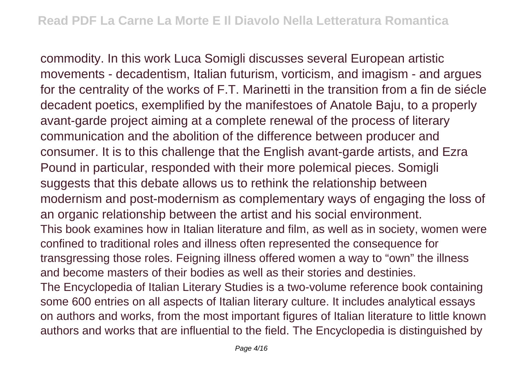commodity. In this work Luca Somigli discusses several European artistic movements - decadentism, Italian futurism, vorticism, and imagism - and argues for the centrality of the works of F.T. Marinetti in the transition from a fin de siécle decadent poetics, exemplified by the manifestoes of Anatole Baju, to a properly avant-garde project aiming at a complete renewal of the process of literary communication and the abolition of the difference between producer and consumer. It is to this challenge that the English avant-garde artists, and Ezra Pound in particular, responded with their more polemical pieces. Somigli suggests that this debate allows us to rethink the relationship between modernism and post-modernism as complementary ways of engaging the loss of an organic relationship between the artist and his social environment. This book examines how in Italian literature and film, as well as in society, women were confined to traditional roles and illness often represented the consequence for transgressing those roles. Feigning illness offered women a way to "own" the illness and become masters of their bodies as well as their stories and destinies. The Encyclopedia of Italian Literary Studies is a two-volume reference book containing some 600 entries on all aspects of Italian literary culture. It includes analytical essays on authors and works, from the most important figures of Italian literature to little known authors and works that are influential to the field. The Encyclopedia is distinguished by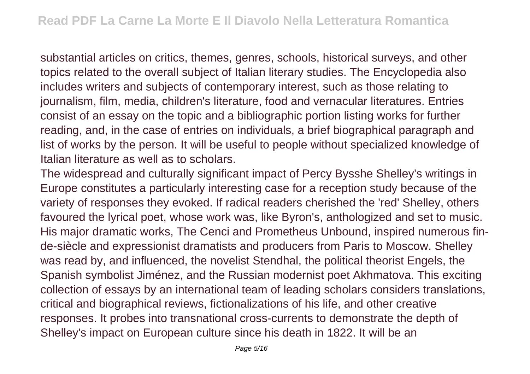substantial articles on critics, themes, genres, schools, historical surveys, and other topics related to the overall subject of Italian literary studies. The Encyclopedia also includes writers and subjects of contemporary interest, such as those relating to journalism, film, media, children's literature, food and vernacular literatures. Entries consist of an essay on the topic and a bibliographic portion listing works for further reading, and, in the case of entries on individuals, a brief biographical paragraph and list of works by the person. It will be useful to people without specialized knowledge of Italian literature as well as to scholars.

The widespread and culturally significant impact of Percy Bysshe Shelley's writings in Europe constitutes a particularly interesting case for a reception study because of the variety of responses they evoked. If radical readers cherished the 'red' Shelley, others favoured the lyrical poet, whose work was, like Byron's, anthologized and set to music. His major dramatic works, The Cenci and Prometheus Unbound, inspired numerous finde-siècle and expressionist dramatists and producers from Paris to Moscow. Shelley was read by, and influenced, the novelist Stendhal, the political theorist Engels, the Spanish symbolist Jiménez, and the Russian modernist poet Akhmatova. This exciting collection of essays by an international team of leading scholars considers translations, critical and biographical reviews, fictionalizations of his life, and other creative responses. It probes into transnational cross-currents to demonstrate the depth of Shelley's impact on European culture since his death in 1822. It will be an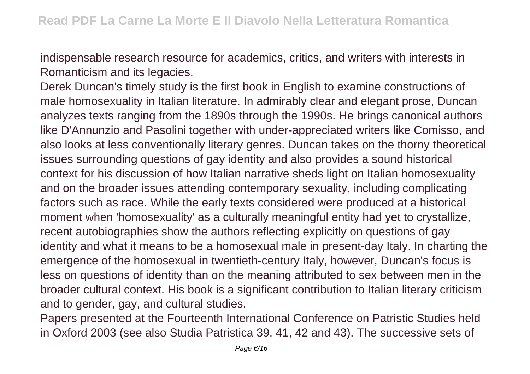indispensable research resource for academics, critics, and writers with interests in Romanticism and its legacies.

Derek Duncan's timely study is the first book in English to examine constructions of male homosexuality in Italian literature. In admirably clear and elegant prose, Duncan analyzes texts ranging from the 1890s through the 1990s. He brings canonical authors like D'Annunzio and Pasolini together with under-appreciated writers like Comisso, and also looks at less conventionally literary genres. Duncan takes on the thorny theoretical issues surrounding questions of gay identity and also provides a sound historical context for his discussion of how Italian narrative sheds light on Italian homosexuality and on the broader issues attending contemporary sexuality, including complicating factors such as race. While the early texts considered were produced at a historical moment when 'homosexuality' as a culturally meaningful entity had yet to crystallize, recent autobiographies show the authors reflecting explicitly on questions of gay identity and what it means to be a homosexual male in present-day Italy. In charting the emergence of the homosexual in twentieth-century Italy, however, Duncan's focus is less on questions of identity than on the meaning attributed to sex between men in the broader cultural context. His book is a significant contribution to Italian literary criticism and to gender, gay, and cultural studies.

Papers presented at the Fourteenth International Conference on Patristic Studies held in Oxford 2003 (see also Studia Patristica 39, 41, 42 and 43). The successive sets of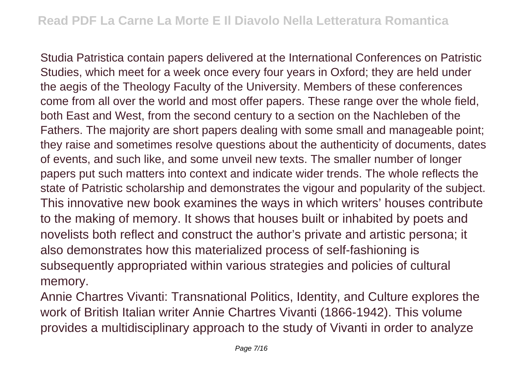Studia Patristica contain papers delivered at the International Conferences on Patristic Studies, which meet for a week once every four years in Oxford; they are held under the aegis of the Theology Faculty of the University. Members of these conferences come from all over the world and most offer papers. These range over the whole field, both East and West, from the second century to a section on the Nachleben of the Fathers. The majority are short papers dealing with some small and manageable point; they raise and sometimes resolve questions about the authenticity of documents, dates of events, and such like, and some unveil new texts. The smaller number of longer papers put such matters into context and indicate wider trends. The whole reflects the state of Patristic scholarship and demonstrates the vigour and popularity of the subject. This innovative new book examines the ways in which writers' houses contribute to the making of memory. It shows that houses built or inhabited by poets and novelists both reflect and construct the author's private and artistic persona; it also demonstrates how this materialized process of self-fashioning is subsequently appropriated within various strategies and policies of cultural memory.

Annie Chartres Vivanti: Transnational Politics, Identity, and Culture explores the work of British Italian writer Annie Chartres Vivanti (1866-1942). This volume provides a multidisciplinary approach to the study of Vivanti in order to analyze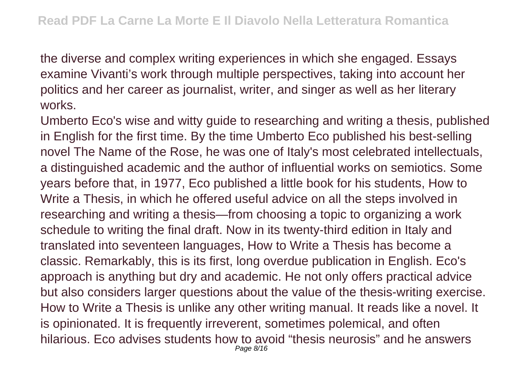the diverse and complex writing experiences in which she engaged. Essays examine Vivanti's work through multiple perspectives, taking into account her politics and her career as journalist, writer, and singer as well as her literary works.

Umberto Eco's wise and witty guide to researching and writing a thesis, published in English for the first time. By the time Umberto Eco published his best-selling novel The Name of the Rose, he was one of Italy's most celebrated intellectuals, a distinguished academic and the author of influential works on semiotics. Some years before that, in 1977, Eco published a little book for his students, How to Write a Thesis, in which he offered useful advice on all the steps involved in researching and writing a thesis—from choosing a topic to organizing a work schedule to writing the final draft. Now in its twenty-third edition in Italy and translated into seventeen languages, How to Write a Thesis has become a classic. Remarkably, this is its first, long overdue publication in English. Eco's approach is anything but dry and academic. He not only offers practical advice but also considers larger questions about the value of the thesis-writing exercise. How to Write a Thesis is unlike any other writing manual. It reads like a novel. It is opinionated. It is frequently irreverent, sometimes polemical, and often hilarious. Eco advises students how to avoid "thesis neurosis" and he answers Page 8/16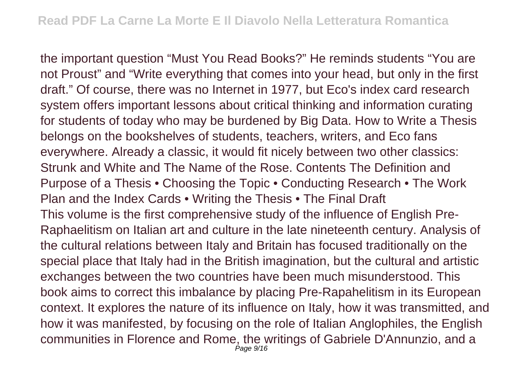the important question "Must You Read Books?" He reminds students "You are not Proust" and "Write everything that comes into your head, but only in the first draft." Of course, there was no Internet in 1977, but Eco's index card research system offers important lessons about critical thinking and information curating for students of today who may be burdened by Big Data. How to Write a Thesis belongs on the bookshelves of students, teachers, writers, and Eco fans everywhere. Already a classic, it would fit nicely between two other classics: Strunk and White and The Name of the Rose. Contents The Definition and Purpose of a Thesis • Choosing the Topic • Conducting Research • The Work Plan and the Index Cards • Writing the Thesis • The Final Draft This volume is the first comprehensive study of the influence of English Pre-Raphaelitism on Italian art and culture in the late nineteenth century. Analysis of the cultural relations between Italy and Britain has focused traditionally on the special place that Italy had in the British imagination, but the cultural and artistic exchanges between the two countries have been much misunderstood. This book aims to correct this imbalance by placing Pre-Rapahelitism in its European context. It explores the nature of its influence on Italy, how it was transmitted, and how it was manifested, by focusing on the role of Italian Anglophiles, the English communities in Florence and Rome, the writings of Gabriele D'Annunzio, and a Page 9/16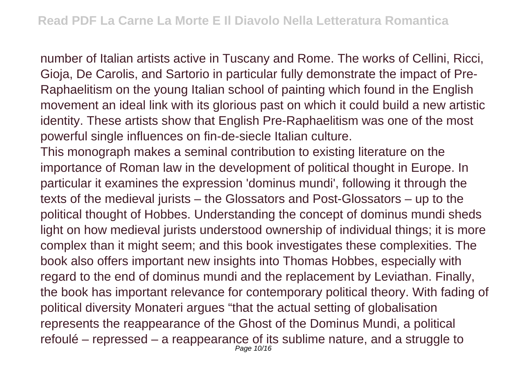number of Italian artists active in Tuscany and Rome. The works of Cellini, Ricci, Gioja, De Carolis, and Sartorio in particular fully demonstrate the impact of Pre-Raphaelitism on the young Italian school of painting which found in the English movement an ideal link with its glorious past on which it could build a new artistic identity. These artists show that English Pre-Raphaelitism was one of the most powerful single influences on fin-de-siecle Italian culture.

This monograph makes a seminal contribution to existing literature on the importance of Roman law in the development of political thought in Europe. In particular it examines the expression 'dominus mundi', following it through the texts of the medieval jurists – the Glossators and Post-Glossators – up to the political thought of Hobbes. Understanding the concept of dominus mundi sheds light on how medieval jurists understood ownership of individual things; it is more complex than it might seem; and this book investigates these complexities. The book also offers important new insights into Thomas Hobbes, especially with regard to the end of dominus mundi and the replacement by Leviathan. Finally, the book has important relevance for contemporary political theory. With fading of political diversity Monateri argues "that the actual setting of globalisation represents the reappearance of the Ghost of the Dominus Mundi, a political refoulé – repressed – a reappearance of its sublime nature, and a struggle to Page 10/16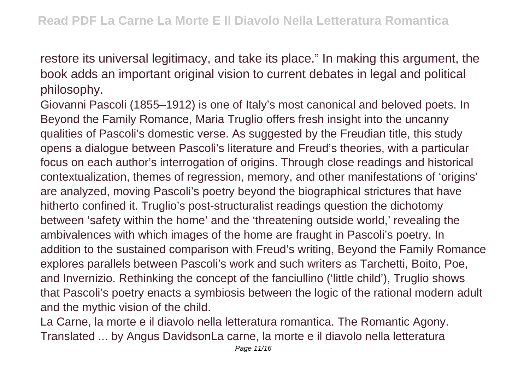restore its universal legitimacy, and take its place." In making this argument, the book adds an important original vision to current debates in legal and political philosophy.

Giovanni Pascoli (1855–1912) is one of Italy's most canonical and beloved poets. In Beyond the Family Romance, Maria Truglio offers fresh insight into the uncanny qualities of Pascoli's domestic verse. As suggested by the Freudian title, this study opens a dialogue between Pascoli's literature and Freud's theories, with a particular focus on each author's interrogation of origins. Through close readings and historical contextualization, themes of regression, memory, and other manifestations of 'origins' are analyzed, moving Pascoli's poetry beyond the biographical strictures that have hitherto confined it. Truglio's post-structuralist readings question the dichotomy between 'safety within the home' and the 'threatening outside world,' revealing the ambivalences with which images of the home are fraught in Pascoli's poetry. In addition to the sustained comparison with Freud's writing, Beyond the Family Romance explores parallels between Pascoli's work and such writers as Tarchetti, Boito, Poe, and Invernizio. Rethinking the concept of the fanciullino ('little child'), Truglio shows that Pascoli's poetry enacts a symbiosis between the logic of the rational modern adult and the mythic vision of the child.

La Carne, la morte e il diavolo nella letteratura romantica. The Romantic Agony. Translated ... by Angus DavidsonLa carne, la morte e il diavolo nella letteratura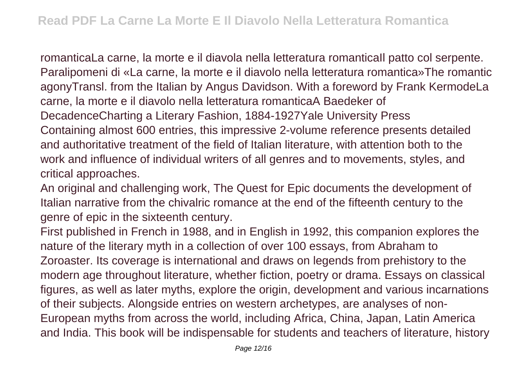romanticaLa carne, la morte e il diavola nella letteratura romanticaIl patto col serpente. Paralipomeni di «La carne, la morte e il diavolo nella letteratura romantica»The romantic agonyTransl. from the Italian by Angus Davidson. With a foreword by Frank KermodeLa carne, la morte e il diavolo nella letteratura romanticaA Baedeker of DecadenceCharting a Literary Fashion, 1884-1927Yale University Press Containing almost 600 entries, this impressive 2-volume reference presents detailed and authoritative treatment of the field of Italian literature, with attention both to the work and influence of individual writers of all genres and to movements, styles, and critical approaches.

An original and challenging work, The Quest for Epic documents the development of Italian narrative from the chivalric romance at the end of the fifteenth century to the genre of epic in the sixteenth century.

First published in French in 1988, and in English in 1992, this companion explores the nature of the literary myth in a collection of over 100 essays, from Abraham to Zoroaster. Its coverage is international and draws on legends from prehistory to the modern age throughout literature, whether fiction, poetry or drama. Essays on classical figures, as well as later myths, explore the origin, development and various incarnations of their subjects. Alongside entries on western archetypes, are analyses of non-European myths from across the world, including Africa, China, Japan, Latin America and India. This book will be indispensable for students and teachers of literature, history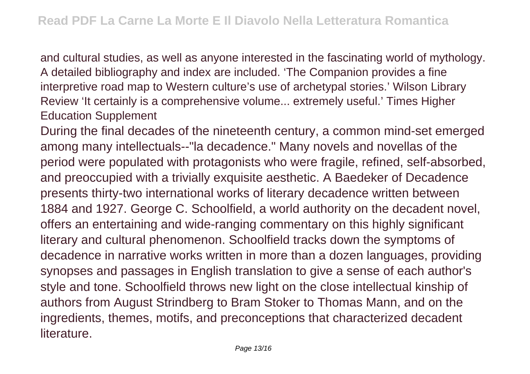and cultural studies, as well as anyone interested in the fascinating world of mythology. A detailed bibliography and index are included. 'The Companion provides a fine interpretive road map to Western culture's use of archetypal stories.' Wilson Library Review 'It certainly is a comprehensive volume... extremely useful.' Times Higher Education Supplement

During the final decades of the nineteenth century, a common mind-set emerged among many intellectuals--"la decadence." Many novels and novellas of the period were populated with protagonists who were fragile, refined, self-absorbed, and preoccupied with a trivially exquisite aesthetic. A Baedeker of Decadence presents thirty-two international works of literary decadence written between 1884 and 1927. George C. Schoolfield, a world authority on the decadent novel, offers an entertaining and wide-ranging commentary on this highly significant literary and cultural phenomenon. Schoolfield tracks down the symptoms of decadence in narrative works written in more than a dozen languages, providing synopses and passages in English translation to give a sense of each author's style and tone. Schoolfield throws new light on the close intellectual kinship of authors from August Strindberg to Bram Stoker to Thomas Mann, and on the ingredients, themes, motifs, and preconceptions that characterized decadent **literature**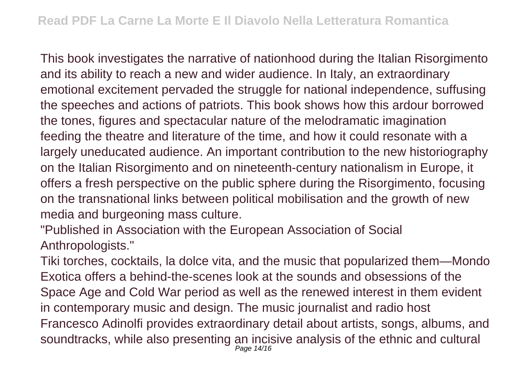This book investigates the narrative of nationhood during the Italian Risorgimento and its ability to reach a new and wider audience. In Italy, an extraordinary emotional excitement pervaded the struggle for national independence, suffusing the speeches and actions of patriots. This book shows how this ardour borrowed the tones, figures and spectacular nature of the melodramatic imagination feeding the theatre and literature of the time, and how it could resonate with a largely uneducated audience. An important contribution to the new historiography on the Italian Risorgimento and on nineteenth-century nationalism in Europe, it offers a fresh perspective on the public sphere during the Risorgimento, focusing on the transnational links between political mobilisation and the growth of new media and burgeoning mass culture.

"Published in Association with the European Association of Social Anthropologists."

Tiki torches, cocktails, la dolce vita, and the music that popularized them—Mondo Exotica offers a behind-the-scenes look at the sounds and obsessions of the Space Age and Cold War period as well as the renewed interest in them evident in contemporary music and design. The music journalist and radio host Francesco Adinolfi provides extraordinary detail about artists, songs, albums, and soundtracks, while also presenting an incisive analysis of the ethnic and cultural Page 14/16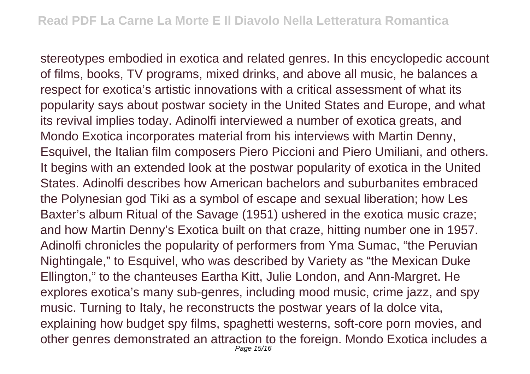stereotypes embodied in exotica and related genres. In this encyclopedic account of films, books, TV programs, mixed drinks, and above all music, he balances a respect for exotica's artistic innovations with a critical assessment of what its popularity says about postwar society in the United States and Europe, and what its revival implies today. Adinolfi interviewed a number of exotica greats, and Mondo Exotica incorporates material from his interviews with Martin Denny, Esquivel, the Italian film composers Piero Piccioni and Piero Umiliani, and others. It begins with an extended look at the postwar popularity of exotica in the United States. Adinolfi describes how American bachelors and suburbanites embraced the Polynesian god Tiki as a symbol of escape and sexual liberation; how Les Baxter's album Ritual of the Savage (1951) ushered in the exotica music craze; and how Martin Denny's Exotica built on that craze, hitting number one in 1957. Adinolfi chronicles the popularity of performers from Yma Sumac, "the Peruvian Nightingale," to Esquivel, who was described by Variety as "the Mexican Duke Ellington," to the chanteuses Eartha Kitt, Julie London, and Ann-Margret. He explores exotica's many sub-genres, including mood music, crime jazz, and spy music. Turning to Italy, he reconstructs the postwar years of la dolce vita, explaining how budget spy films, spaghetti westerns, soft-core porn movies, and other genres demonstrated an attraction to the foreign. Mondo Exotica includes a Page 15/16